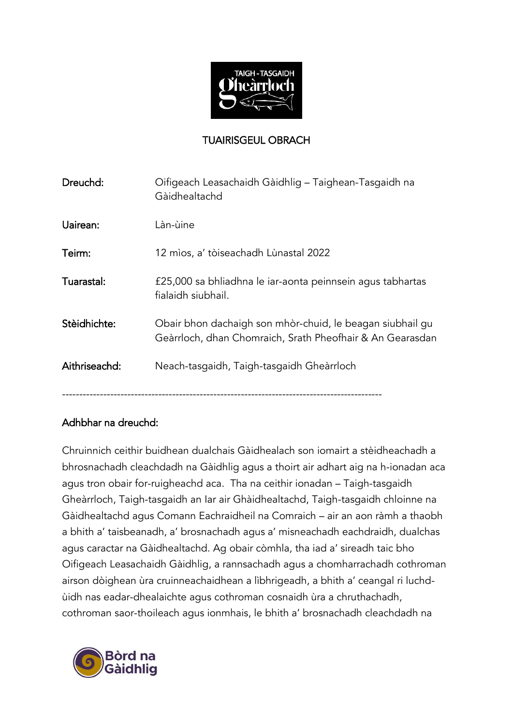

## TUAIRISGEUL OBRACH

| Dreuchd:      | Oifigeach Leasachaidh Gàidhlig – Taighean-Tasgaidh na<br>Gàidhealtachd                                                 |
|---------------|------------------------------------------------------------------------------------------------------------------------|
| Uairean:      | Làn-ùine                                                                                                               |
| Teirm:        | 12 mìos, a' tòiseachadh Lùnastal 2022                                                                                  |
| Tuarastal:    | £25,000 sa bhliadhna le iar-aonta peinnsein agus tabhartas<br>fialaidh siubhail.                                       |
| Stèidhichte:  | Obair bhon dachaigh son mhòr-chuid, le beagan siubhail gu<br>Geàrrloch, dhan Chomraich, Srath Pheofhair & An Gearasdan |
| Aithriseachd: | Neach-tasgaidh, Taigh-tasgaidh Gheàrrloch                                                                              |
|               |                                                                                                                        |

## Adhbhar na dreuchd:

Chruinnich ceithir buidhean dualchais Gàidhealach son iomairt a stèidheachadh a bhrosnachadh cleachdadh na Gàidhlig agus a thoirt air adhart aig na h-ionadan aca agus tron obair for-ruigheachd aca. Tha na ceithir ionadan – Taigh-tasgaidh Gheàrrloch, Taigh-tasgaidh an Iar air Ghàidhealtachd, Taigh-tasgaidh chloinne na Gàidhealtachd agus Comann Eachraidheil na Comraich – air an aon ràmh a thaobh a bhith a' taisbeanadh, a' brosnachadh agus a' misneachadh eachdraidh, dualchas agus caractar na Gàidhealtachd. Ag obair còmhla, tha iad a' sireadh taic bho Oifigeach Leasachaidh Gàidhlig, a rannsachadh agus a chomharrachadh cothroman airson dòighean ùra cruinneachaidhean a lìbhrigeadh, a bhith a' ceangal ri luchdùidh nas eadar-dhealaichte agus cothroman cosnaidh ùra a chruthachadh, cothroman saor-thoileach agus ionmhais, le bhith a' brosnachadh cleachdadh na

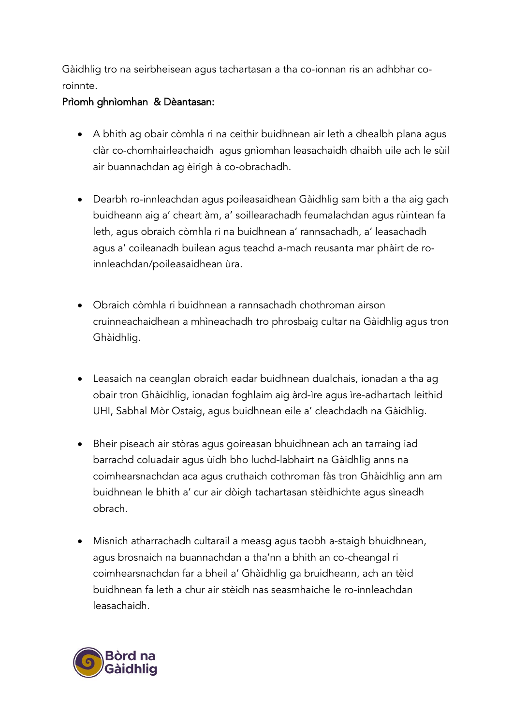Gàidhlig tro na seirbheisean agus tachartasan a tha co-ionnan ris an adhbhar coroinnte.

## Prìomh ghnìomhan & Dèantasan:

- A bhith ag obair còmhla ri na ceithir buidhnean air leth a dhealbh plana agus clàr co-chomhairleachaidh agus gnìomhan leasachaidh dhaibh uile ach le sùil air buannachdan ag èirigh à co-obrachadh.
- Dearbh ro-innleachdan agus poileasaidhean Gàidhlig sam bith a tha aig gach buidheann aig a' cheart àm, a' soillearachadh feumalachdan agus rùintean fa leth, agus obraich còmhla ri na buidhnean a' rannsachadh, a' leasachadh agus a' coileanadh builean agus teachd a-mach reusanta mar phàirt de roinnleachdan/poileasaidhean ùra.
- Obraich còmhla ri buidhnean a rannsachadh chothroman airson cruinneachaidhean a mhìneachadh tro phrosbaig cultar na Gàidhlig agus tron Ghàidhlig.
- Leasaich na ceanglan obraich eadar buidhnean dualchais, ionadan a tha ag obair tron Ghàidhlig, ionadan foghlaim aig àrd-ìre agus ìre-adhartach leithid UHI, Sabhal Mòr Ostaig, agus buidhnean eile a' cleachdadh na Gàidhlig.
- Bheir piseach air stòras agus goireasan bhuidhnean ach an tarraing iad barrachd coluadair agus ùidh bho luchd-labhairt na Gàidhlig anns na coimhearsnachdan aca agus cruthaich cothroman fàs tron Ghàidhlig ann am buidhnean le bhith a' cur air dòigh tachartasan stèidhichte agus sìneadh obrach.
- Misnich atharrachadh cultarail a measg agus taobh a-staigh bhuidhnean, agus brosnaich na buannachdan a tha'nn a bhith an co-cheangal ri coimhearsnachdan far a bheil a' Ghàidhlig ga bruidheann, ach an tèid buidhnean fa leth a chur air stèidh nas seasmhaiche le ro-innleachdan leasachaidh.

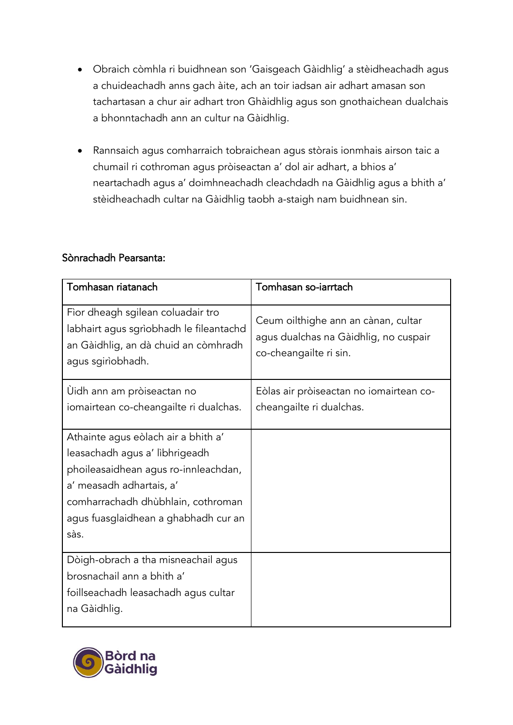- Obraich còmhla ri buidhnean son 'Gaisgeach Gàidhlig' a stèidheachadh agus a chuideachadh anns gach àite, ach an toir iadsan air adhart amasan son tachartasan a chur air adhart tron Ghàidhlig agus son gnothaichean dualchais a bhonntachadh ann an cultur na Gàidhlig.
- Rannsaich agus comharraich tobraichean agus stòrais ionmhais airson taic a chumail ri cothroman agus pròiseactan a' dol air adhart, a bhios a' neartachadh agus a' doimhneachadh cleachdadh na Gàidhlig agus a bhith a' stèidheachadh cultar na Gàidhlig taobh a-staigh nam buidhnean sin.

#### Sònrachadh Pearsanta:

| Tomhasan riatanach                                                                                                                                                                                                              | Tomhasan so-iarrtach                                                                                   |
|---------------------------------------------------------------------------------------------------------------------------------------------------------------------------------------------------------------------------------|--------------------------------------------------------------------------------------------------------|
| Fìor dheagh sgilean coluadair tro<br>labhairt agus sgrìobhadh le fileantachd<br>an Gàidhlig, an dà chuid an còmhradh<br>agus sgirìobhadh.                                                                                       | Ceum oilthighe ann an cànan, cultar<br>agus dualchas na Gàidhlig, no cuspair<br>co-cheangailte ri sin. |
| Ùidh ann am pròiseactan no<br>iomairtean co-cheangailte ri dualchas.                                                                                                                                                            | Eòlas air pròiseactan no iomairtean co-<br>cheangailte ri dualchas.                                    |
| Athainte agus eòlach air a bhith a'<br>leasachadh agus a' lìbhrigeadh<br>phoileasaidhean agus ro-innleachdan,<br>a' measadh adhartais, a'<br>comharrachadh dhùbhlain, cothroman<br>agus fuasglaidhean a ghabhadh cur an<br>sàs. |                                                                                                        |
| Dòigh-obrach a tha misneachail agus<br>brosnachail ann a bhith a'<br>foillseachadh leasachadh agus cultar<br>na Gàidhlig.                                                                                                       |                                                                                                        |

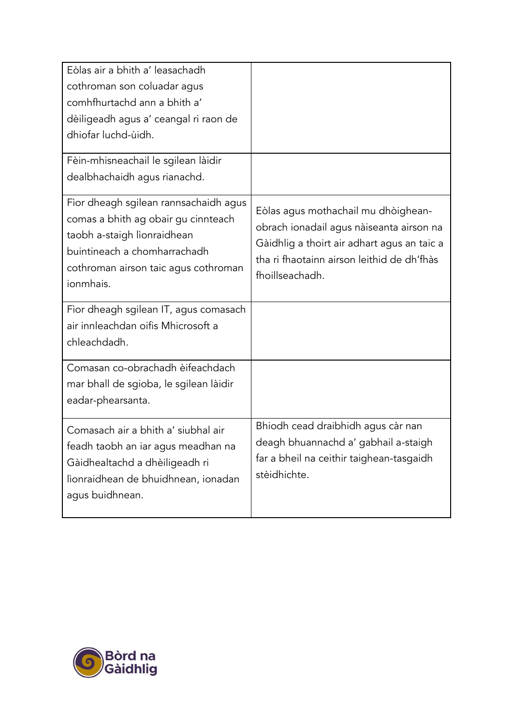| Eòlas air a bhith a' leasachadh<br>cothroman son coluadar agus<br>comhfhurtachd ann a bhith a'<br>dèiligeadh agus a' ceangal ri raon de<br>dhiofar luchd-ùidh.<br>Fèin-mhisneachail le sgilean làidir |                                                                                                                                                                                                 |
|-------------------------------------------------------------------------------------------------------------------------------------------------------------------------------------------------------|-------------------------------------------------------------------------------------------------------------------------------------------------------------------------------------------------|
| dealbhachaidh agus rianachd.                                                                                                                                                                          |                                                                                                                                                                                                 |
| Fìor dheagh sgilean rannsachaidh agus<br>comas a bhith ag obair gu cinnteach<br>taobh a-staigh lìonraidhean<br>buintineach a chomharrachadh<br>cothroman airson taic agus cothroman<br>ionmhais.      | Eòlas agus mothachail mu dhòighean-<br>obrach ionadail agus nàiseanta airson na<br>Gàidhlig a thoirt air adhart agus an taic a<br>tha ri fhaotainn airson leithid de dh'fhàs<br>fhoillseachadh. |
| Fìor dheagh sgilean IT, agus comasach<br>air innleachdan oifis Mhicrosoft a<br>chleachdadh.                                                                                                           |                                                                                                                                                                                                 |
| Comasan co-obrachadh èifeachdach<br>mar bhall de sgioba, le sgilean làidir<br>eadar-phearsanta.                                                                                                       |                                                                                                                                                                                                 |
| Comasach air a bhith a' siubhal air<br>feadh taobh an iar agus meadhan na<br>Gàidhealtachd a dhèiligeadh ri<br>lìonraidhean de bhuidhnean, ionadan<br>agus buidhnean.                                 | Bhiodh cead draibhidh agus càr nan<br>deagh bhuannachd a' gabhail a-staigh<br>far a bheil na ceithir taighean-tasgaidh<br>stèidhichte.                                                          |